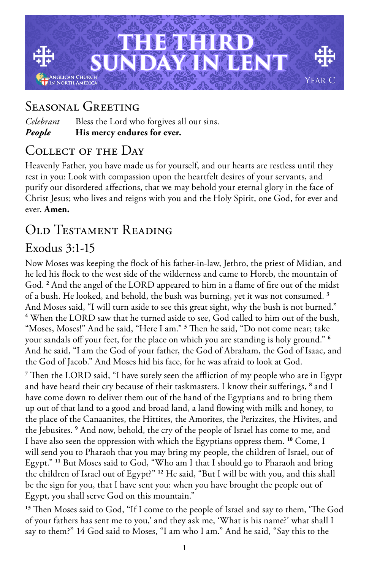

## Seasonal Greeting

*Celebrant* Bless the Lord who forgives all our sins. *People* **His mercy endures for ever.**

# Collect of the Day

Heavenly Father, you have made us for yourself, and our hearts are restless until they rest in you: Look with compassion upon the heartfelt desires of your servants, and purify our disordered affections, that we may behold your eternal glory in the face of Christ Jesus; who lives and reigns with you and the Holy Spirit, one God, for ever and ever. **Amen.**

## Old Testament Reading

# Exodus 3:1-15

Now Moses was keeping the flock of his father-in-law, Jethro, the priest of Midian, and he led his flock to the west side of the wilderness and came to Horeb, the mountain of God. **<sup>2</sup>** And the angel of the LORD appeared to him in a flame of fire out of the midst of a bush. He looked, and behold, the bush was burning, yet it was not consumed. **<sup>3</sup>** And Moses said, "I will turn aside to see this great sight, why the bush is not burned." **4** When the LORD saw that he turned aside to see, God called to him out of the bush, "Moses, Moses!" And he said, "Here I am." **<sup>5</sup>** Then he said, "Do not come near; take your sandals off your feet, for the place on which you are standing is holy ground." **<sup>6</sup>** And he said, "I am the God of your father, the God of Abraham, the God of Isaac, and the God of Jacob." And Moses hid his face, for he was afraid to look at God.

**7** Then the LORD said, "I have surely seen the affliction of my people who are in Egypt and have heard their cry because of their taskmasters. I know their sufferings, **<sup>8</sup>** and I have come down to deliver them out of the hand of the Egyptians and to bring them up out of that land to a good and broad land, a land flowing with milk and honey, to the place of the Canaanites, the Hittites, the Amorites, the Perizzites, the Hivites, and the Jebusites. **<sup>9</sup>** And now, behold, the cry of the people of Israel has come to me, and I have also seen the oppression with which the Egyptians oppress them. **<sup>10</sup>** Come, I will send you to Pharaoh that you may bring my people, the children of Israel, out of Egypt." **<sup>11</sup>** But Moses said to God, "Who am I that I should go to Pharaoh and bring the children of Israel out of Egypt?" **<sup>12</sup>** He said, "But I will be with you, and this shall be the sign for you, that I have sent you: when you have brought the people out of Egypt, you shall serve God on this mountain."

**<sup>13</sup>** Then Moses said to God, "If I come to the people of Israel and say to them, 'The God of your fathers has sent me to you,' and they ask me, 'What is his name?' what shall I say to them?" 14 God said to Moses, "I am who I am." And he said, "Say this to the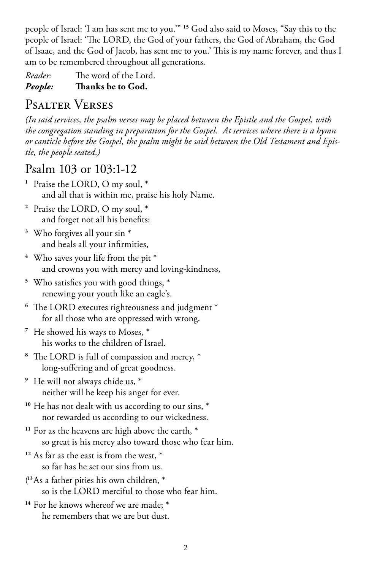people of Israel: 'I am has sent me to you.'" **<sup>15</sup>** God also said to Moses, "Say this to the people of Israel: 'The LORD, the God of your fathers, the God of Abraham, the God of Isaac, and the God of Jacob, has sent me to you.' This is my name forever, and thus I am to be remembered throughout all generations.

*Reader:* The word of the Lord.

*People:* **Thanks be to God.** 

# Psalter Verses

*(In said services, the psalm verses may be placed between the Epistle and the Gospel, with the congregation standing in preparation for the Gospel. At services where there is a hymn or canticle before the Gospel, the psalm might be said between the Old Testament and Epistle, the people seated.)*

## Psalm 103 or 103:1-12

- **<sup>1</sup>** Praise the LORD, O my soul, \* and all that is within me, praise his holy Name.
- **<sup>2</sup>** Praise the LORD, O my soul, \* and forget not all his benefits:
- **<sup>3</sup>** Who forgives all your sin \* and heals all your infirmities,
- **<sup>4</sup>** Who saves your life from the pit \* and crowns you with mercy and loving-kindness,
- **<sup>5</sup>** Who satisfies you with good things, \* renewing your youth like an eagle's.
- **<sup>6</sup>** The LORD executes righteousness and judgment \* for all those who are oppressed with wrong.
- **<sup>7</sup>** He showed his ways to Moses, \* his works to the children of Israel.
- **<sup>8</sup>** The LORD is full of compassion and mercy, \* long-suffering and of great goodness.
- **<sup>9</sup>** He will not always chide us, \* neither will he keep his anger for ever.
- **<sup>10</sup>** He has not dealt with us according to our sins, \* nor rewarded us according to our wickedness.
- **<sup>11</sup>** For as the heavens are high above the earth, \* so great is his mercy also toward those who fear him.
- **<sup>12</sup>** As far as the east is from the west, \* so far has he set our sins from us.
- ( **<sup>13</sup>**As a father pities his own children, \* so is the LORD merciful to those who fear him.
- **<sup>14</sup>** For he knows whereof we are made; \* he remembers that we are but dust.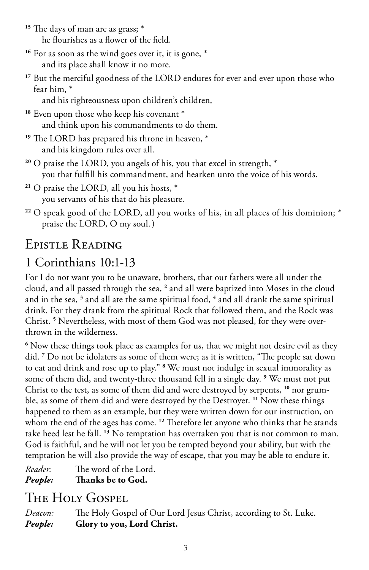<sup>15</sup> The days of man are as grass;  $*$ he flourishes as a flower of the field.

<sup>16</sup> For as soon as the wind goes over it, it is gone,  $*$ and its place shall know it no more.

**<sup>17</sup>** But the merciful goodness of the LORD endures for ever and ever upon those who fear him, \*

and his righteousness upon children's children,

<sup>18</sup> Even upon those who keep his covenant \* and think upon his commandments to do them.

**<sup>19</sup>** The LORD has prepared his throne in heaven, \* and his kingdom rules over all.

**<sup>20</sup>** O praise the LORD, you angels of his, you that excel in strength, \* you that fulfill his commandment, and hearken unto the voice of his words.

- **<sup>21</sup>** O praise the LORD, all you his hosts, \* you servants of his that do his pleasure.
- **<sup>22</sup>** O speak good of the LORD, all you works of his, in all places of his dominion; \* praise the LORD, O my soul.)

# Epistle Reading

# 1 Corinthians 10:1-13

For I do not want you to be unaware, brothers, that our fathers were all under the cloud, and all passed through the sea, **<sup>2</sup>** and all were baptized into Moses in the cloud and in the sea, <sup>3</sup> and all ate the same spiritual food, <sup>4</sup> and all drank the same spiritual drink. For they drank from the spiritual Rock that followed them, and the Rock was Christ. **<sup>5</sup>** Nevertheless, with most of them God was not pleased, for they were overthrown in the wilderness.

**6** Now these things took place as examples for us, that we might not desire evil as they did. **<sup>7</sup>** Do not be idolaters as some of them were; as it is written, "The people sat down to eat and drink and rose up to play." **<sup>8</sup>** We must not indulge in sexual immorality as some of them did, and twenty-three thousand fell in a single day. **<sup>9</sup>** We must not put Christ to the test, as some of them did and were destroyed by serpents, **10** nor grumble, as some of them did and were destroyed by the Destroyer. **<sup>11</sup>** Now these things happened to them as an example, but they were written down for our instruction, on whom the end of the ages has come. **<sup>12</sup>** Therefore let anyone who thinks that he stands take heed lest he fall. **<sup>13</sup>** No temptation has overtaken you that is not common to man. God is faithful, and he will not let you be tempted beyond your ability, but with the temptation he will also provide the way of escape, that you may be able to endure it.

*Reader:* The word of the Lord. *People:* **Thanks be to God.** 

# The Holy Gospel

*Deacon:* The Holy Gospel of Our Lord Jesus Christ, according to St. Luke. *People:* **Glory to you, Lord Christ.**